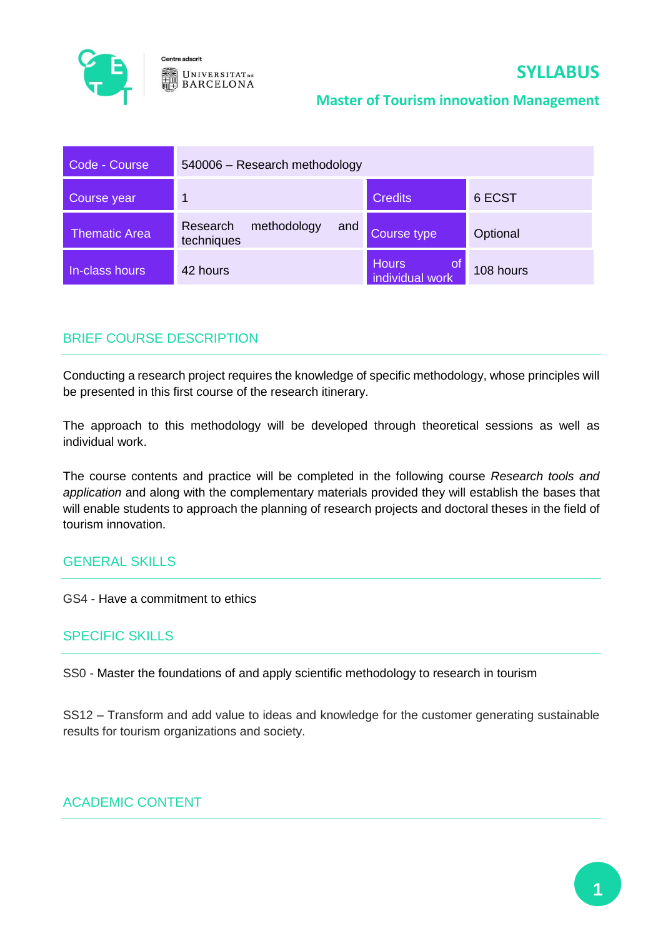

# **SYLLABUS**

#### **Master of Tourism innovation Management**

| Code - Course        | 540006 - Research methodology                |                                              |           |
|----------------------|----------------------------------------------|----------------------------------------------|-----------|
| Course year          | 1                                            | <b>Credits</b>                               | 6 ECST    |
| <b>Thematic Area</b> | methodology<br>Research<br>and<br>techniques | Course type                                  | Optional  |
| In-class hours       | 42 hours                                     | <b>Hours</b><br><u>ot</u><br>individual work | 108 hours |

# BRIEF COURSE DESCRIPTION

Conducting a research project requires the knowledge of specific methodology, whose principles will be presented in this first course of the research itinerary.

The approach to this methodology will be developed through theoretical sessions as well as individual work.

The course contents and practice will be completed in the following course *Research tools and application* and along with the complementary materials provided they will establish the bases that will enable students to approach the planning of research projects and doctoral theses in the field of tourism innovation.

# GENERAL SKILLS

GS4 - Have a commitment to ethics

#### SPECIFIC SKILLS

SS0 - Master the foundations of and apply scientific methodology to research in tourism

SS12 – Transform and add value to ideas and knowledge for the customer generating sustainable results for tourism organizations and society.

# ACADEMIC CONTENT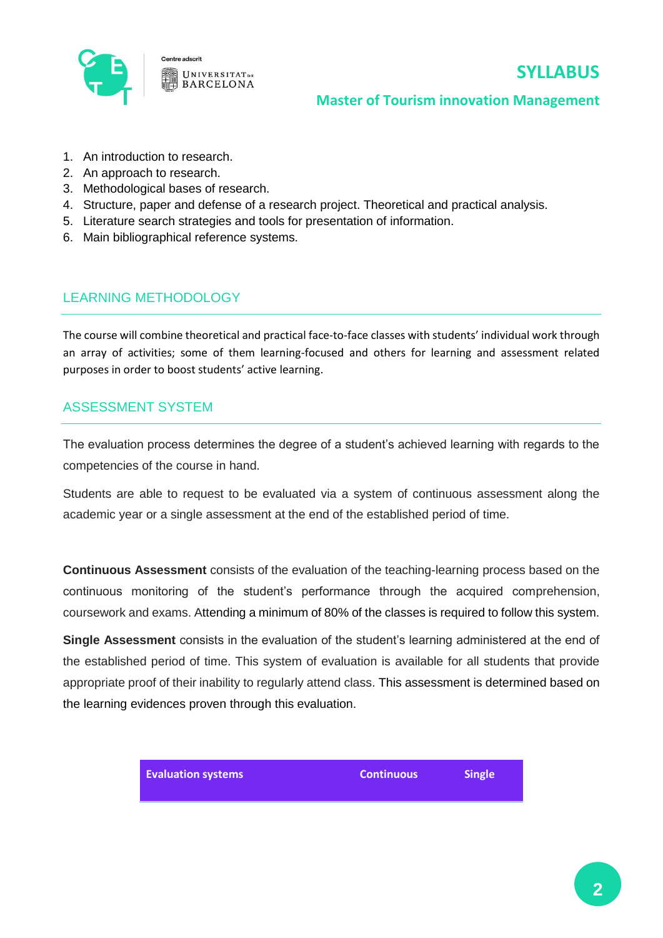

# **SYLLABUS**

#### **Master of Tourism innovation Management**

- 1. An introduction to research.
- 2. An approach to research.
- 3. Methodological bases of research.
- 4. Structure, paper and defense of a research project. Theoretical and practical analysis.
- 5. Literature search strategies and tools for presentation of information.
- 6. Main bibliographical reference systems.

### LEARNING METHODOLOGY

The course will combine theoretical and practical face-to-face classes with students' individual work through an array of activities; some of them learning-focused and others for learning and assessment related purposes in order to boost students' active learning.

#### ASSESSMENT SYSTEM

The evaluation process determines the degree of a student's achieved learning with regards to the competencies of the course in hand.

Students are able to request to be evaluated via a system of continuous assessment along the academic year or a single assessment at the end of the established period of time.

**Continuous Assessment** consists of the evaluation of the teaching-learning process based on the continuous monitoring of the student's performance through the acquired comprehension, coursework and exams. Attending a minimum of 80% of the classes is required to follow this system.

**Single Assessment** consists in the evaluation of the student's learning administered at the end of the established period of time. This system of evaluation is available for all students that provide appropriate proof of their inability to regularly attend class. This assessment is determined based on the learning evidences proven through this evaluation.

**Evaluation systems Continuous Single**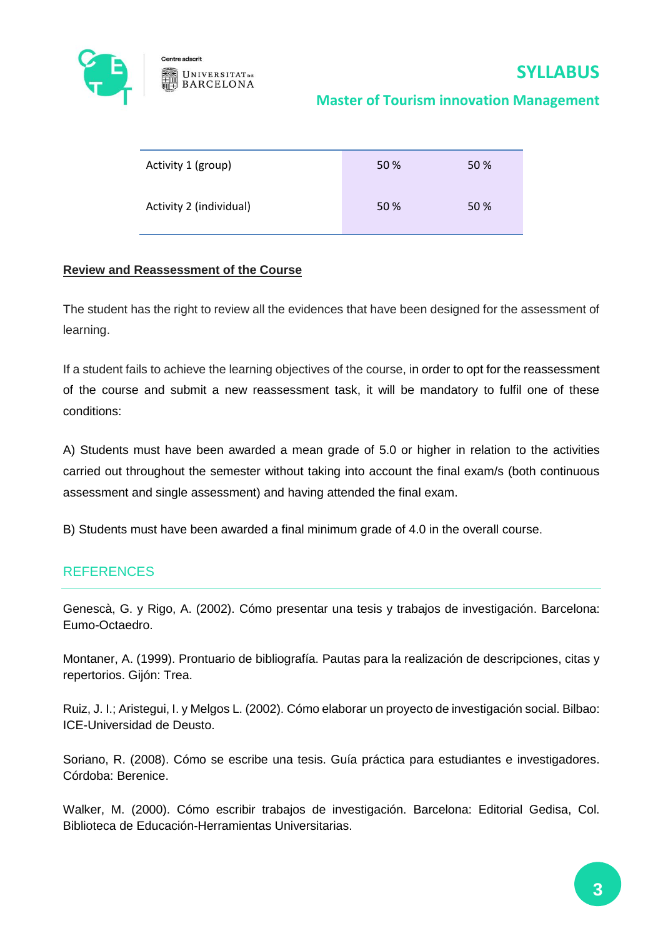

# **Master of Tourism innovation Management**

| Activity 1 (group)      | 50 % | 50 % |
|-------------------------|------|------|
| Activity 2 (individual) | 50 % | 50 % |

#### **Review and Reassessment of the Course**

The student has the right to review all the evidences that have been designed for the assessment of learning.

If a student fails to achieve the learning objectives of the course, in order to opt for the reassessment of the course and submit a new reassessment task, it will be mandatory to fulfil one of these conditions:

A) Students must have been awarded a mean grade of 5.0 or higher in relation to the activities carried out throughout the semester without taking into account the final exam/s (both continuous assessment and single assessment) and having attended the final exam.

B) Students must have been awarded a final minimum grade of 4.0 in the overall course.

# **REFERENCES**

Genescà, G. y Rigo, A. (2002). Cómo presentar una tesis y trabajos de investigación. Barcelona: Eumo-Octaedro.

Montaner, A. (1999). Prontuario de bibliografía. Pautas para la realización de descripciones, citas y repertorios. Gijón: Trea.

Ruiz, J. I.; Aristegui, I. y Melgos L. (2002). Cómo elaborar un proyecto de investigación social. Bilbao: ICE-Universidad de Deusto.

Soriano, R. (2008). Cómo se escribe una tesis. Guía práctica para estudiantes e investigadores. Córdoba: Berenice.

Walker, M. (2000). Cómo escribir trabajos de investigación. Barcelona: Editorial Gedisa, Col. Biblioteca de Educación-Herramientas Universitarias.